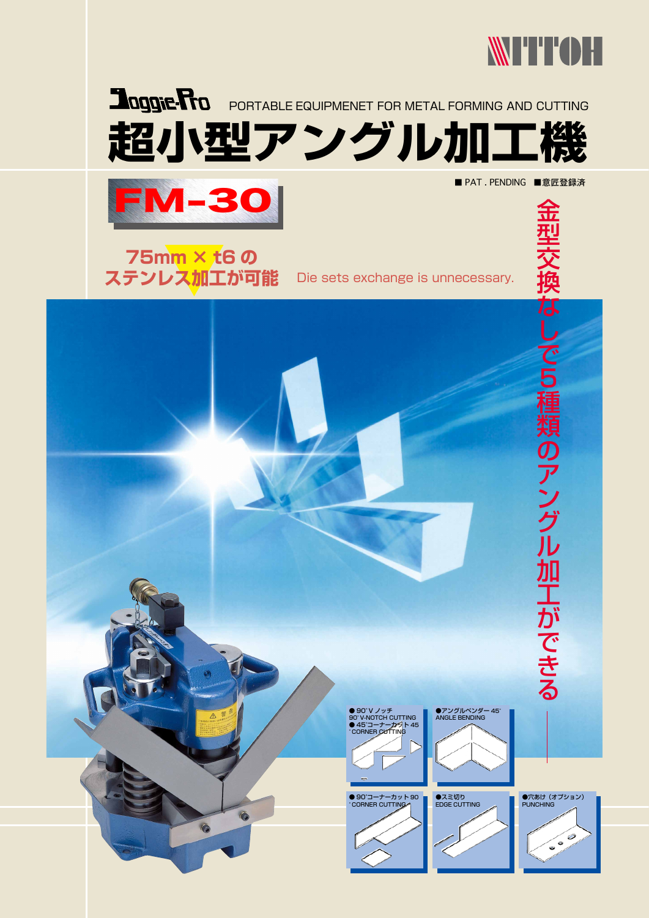







■ PAT . PENDING ■意匠登録済

Die sets exchange is unnecessary.

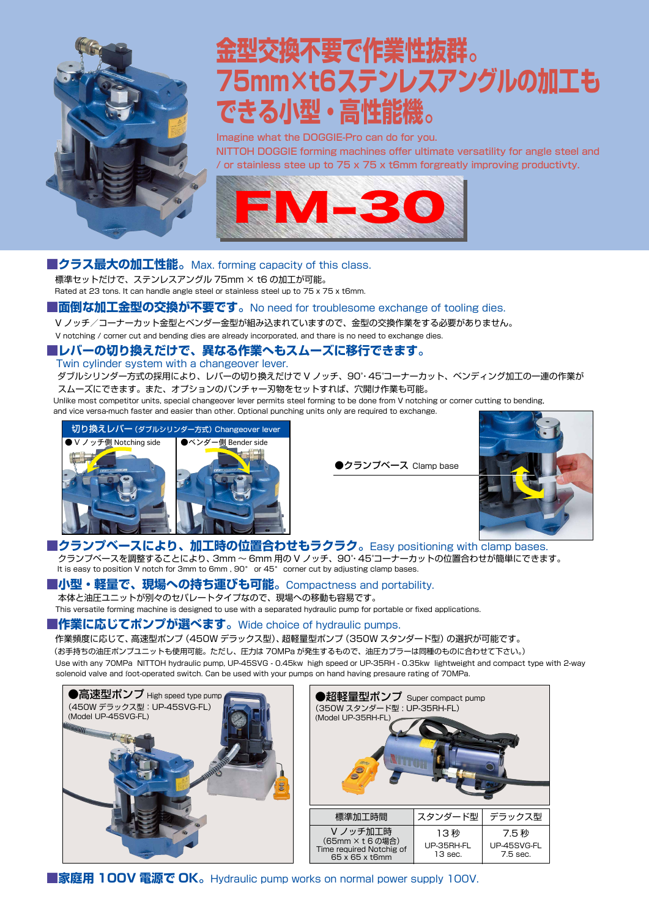

# **金型交換不要で作業性抜群。** 75mm×t6ステンレスアングルの加工も できる小型・高性能機。

Imagine what the DOGGIE-Pro can do for you. NITTOH DOGGIE forming machines offer ultimate versatility for angle steel and *l* or stainless stee up to 75 x 75 x t6mm for greatly improving productivty.



#### ■クラス最大の加工性能。Max. forming capacity of this class.

標準セットだけで、ステンレスアングル 75mm × t6 の加工が可能。 Rated at 23 tons. It can handle angle steel or stainless steel up to 75 x 75 x t6mm.

#### ■面倒な加工金型の交換が不要です。No need for troublesome exchange of tooling dies.

Ⅴノッチ/コーナーカット金型とベンダー金型が組み込まれていますので、金型の交換作業をする必要がありません。

V notching / corner cut and bending dies are already incorporated, and thare is no need to exchange dies.

### **■レバーの切り換えだけで、異なる作業へもスムーズに移行できます。**

Twin cylinder system with a changeover lever.

ダブルシリンダー方式の採用により、レバーの切り換えだけで V ノッチ、90°·45°コーナーカット、ベンディング加工の一連の作業が スムーズにできます。また、オプションのパンチャー刃物をセットすれば、穴開け作業も可能。

Unlike most competitor units, special changeover lever permits steel forming to be done from V notching or corner cutting to bending,

and vice versa-much faster and easier than other. Optional punching units only are required to exchange.



●クランプベース Clamp base



# ■クランプベースにより、加工時の位置合わせもラクラク。Easy positioning with **Clamp bases**.

クランプベースを調整することにより、3mm 〜 6mm 用の V ノッチ、90°・45°コーナーカットの位置合わせが簡単にできます。 It is easy to position V notch for 3mm to 6mm,  $90^\circ$  or 45° corner cut by adjusting clamp bases.

#### ■小型・軽量で、現場への持ち運びも可能。Compactness and portability.

本体と油圧ユニットが別々のヤパレートタイプなので、現場への移動も容易です。

This versatile forming machine is designed to use with a separated hydraulic pump for portable or fixed applications.

#### **. 『作業に応じてポンプが選べます**。Wide choice of hydraulic pumps.

作業頻度に応じて、高速型ポンプ (450W デラックス型)、超軽量型ポンプ (350W スタンダード型) の選択が可能です。 (お手持ちの油圧ポンプユニットも使用可能。ただし、圧力は 70MPa が発生するもので、油圧カプラーは同種のものに合わせて下さい。) Use with any 70MPa NITTOH hydraulic pump, UP-45SVG - 0.45kw high speed or UP-35RH - 0.35kw lightweight and compact type with 2-way solenoid valve and foot-operated switch. Can be used with your pumps on hand having presaure rating of 70MPa.



**■家庭用 100V 電源で OK** a Hydraulic pump works on normal power supply 100V.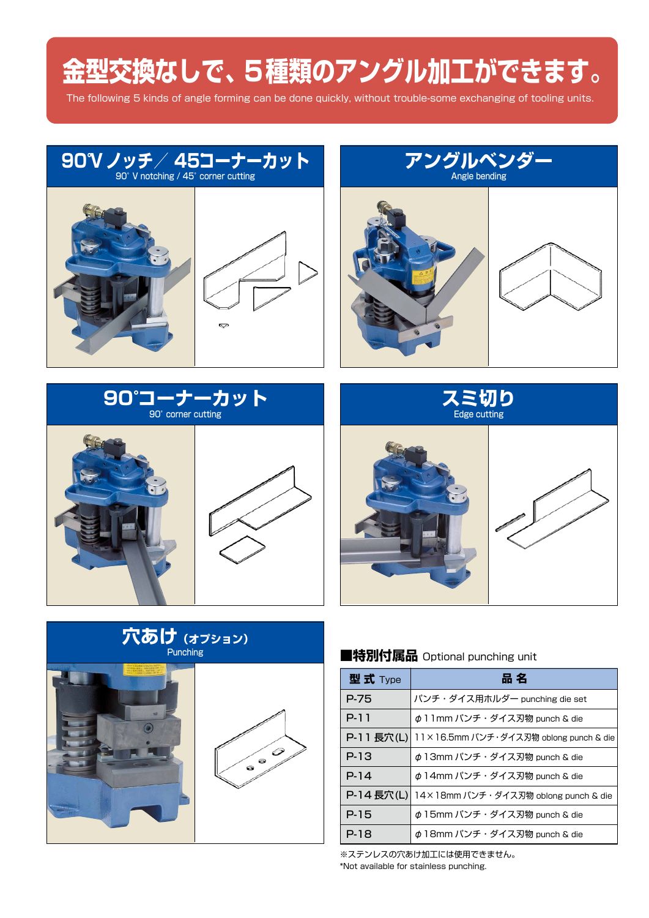# 金型交換なしで、5種類のアングル加工ができます。



# 穴あけ (オプション) Punching



## ■特別付属品 Optional punching unit

| 型式 Type    | 品 名                                    |  |  |  |
|------------|----------------------------------------|--|--|--|
| P-75       | パンチ・ダイス用ホルダー punching die set          |  |  |  |
| P-11       | φ 1 1 mm パンチ・ダイス刃物 punch & die         |  |  |  |
| P-11 長穴(L) | 11×16.5mm パンチ・ダイス刃物 oblong punch & die |  |  |  |
| P-13       | φ 13mm パンチ・ダイス刃物 punch & die           |  |  |  |
| $P-14$     | φ 14mm パンチ・ダイス刃物 punch & die           |  |  |  |
| P-14 長穴(L) | 14×18mm パンチ・ダイス刃物 oblong punch & die   |  |  |  |
| P-15       | φ 15mm パンチ・ダイス刃物 punch & die           |  |  |  |
| P-18       | φ 18mm パンチ・ダイス刃物 punch & die           |  |  |  |

※ステンレスの穴あけ加工には使用できません。 \*Not available for stainless punching.